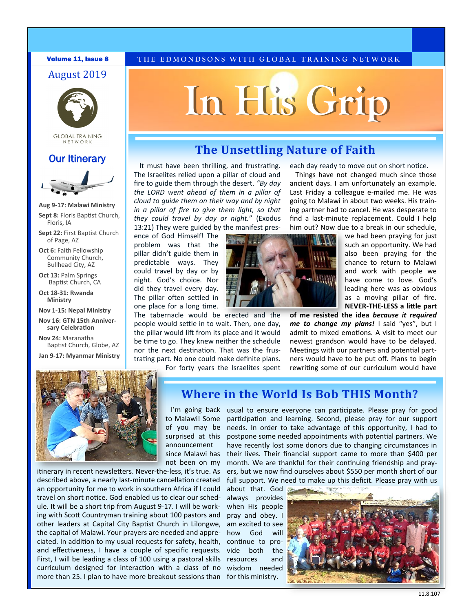#### August 2019



**GLOBAL TRAINING** NFTWORK

#### **Our Itinerary**



**Aug 9-17: Malawi Ministry**

**Sept 8:** Floris Baptist Church, Floris, IA

**Sept 22:** First Baptist Church of Page, AZ

**Oct 6:** Faith Fellowship Community Church, Bullhead City, AZ

**Oct 13:** Palm Springs Baptist Church, CA

**Oct 18-31: Rwanda Ministry** 

**Nov 1-15: Nepal Ministry** 

**Nov 16: GTN 15th Anniversary Celebration**

**Nov 24:** Maranatha Baptist Church, Globe, AZ

**Jan 9-17: Myanmar Ministry**

#### **Volume 11, Issue 8** THE EDMONDSONS WITH GLOBAL TRAINING NETWORK

# **In His Grip**

### **The Unsettling Nature of Faith**

It must have been thrilling, and frustrating. The Israelites relied upon a pillar of cloud and fire to guide them through the desert. *"By day the LORD went ahead of them in a pillar of cloud to guide them on their way and by night in a pillar of fire to give them light, so that they could travel by day or night.*" (Exodus 13:21) They were guided by the manifest pres-

ence of God Himself! The problem was that the pillar didn't guide them in predictable ways. They could travel by day or by night. God's choice. Nor did they travel every day. The pillar often settled in one place for a long time.

The tabernacle would be erected and the people would settle in to wait. Then, one day, the pillar would lift from its place and it would be time to go. They knew neither the schedule nor the next destination. That was the frustrating part. No one could make definite plans.

For forty years the Israelites spent

each day ready to move out on short notice.

Things have not changed much since those ancient days. I am unfortunately an example. Last Friday a colleague e-mailed me. He was going to Malawi in about two weeks. His training partner had to cancel. He was desperate to find a last-minute replacement. Could I help him out? Now due to a break in our schedule,



we had been praying for just such an opportunity. We had also been praying for the chance to return to Malawi and work with people we have come to love. God's leading here was as obvious as a moving pillar of fire. **NEVER-THE-LESS a little part** 

**of me resisted the idea** *because it required me to change my plans!* I said "yes", but I admit to mixed emotions. A visit to meet our newest grandson would have to be delayed. Meetings with our partners and potential partners would have to be put off. Plans to begin rewriting some of our curriculum would have



itinerary in recent newsletters. Never-the-less, it's true. As described above, a nearly last-minute cancellation created an opportunity for me to work in southern Africa if I could travel on short notice. God enabled us to clear our schedule. It will be a short trip from August 9-17. I will be working with Scott Countryman training about 100 pastors and other leaders at Capital City Baptist Church in Lilongwe, the capital of Malawi. Your prayers are needed and appreciated. In addition to my usual requests for safety, health, and effectiveness, I have a couple of specific requests. First, I will be leading a class of 100 using a pastoral skills curriculum designed for interaction with a class of no more than 25. I plan to have more breakout sessions than for this ministry.

#### **Where in the World Is Bob THIS Month?**

to Malawi! Some of you may be surprised at this announcement since Malawi has not been on my

I'm going back usual to ensure everyone can participate. Please pray for good participation and learning. Second, please pray for our support needs. In order to take advantage of this opportunity, I had to postpone some needed appointments with potential partners. We have recently lost some donors due to changing circumstances in their lives. Their financial support came to more than \$400 per month. We are thankful for their continuing friendship and prayers, but we now find ourselves about \$550 per month short of our full support. We need to make up this deficit. Please pray with us

about that. God always provides when His people pray and obey. I am excited to see how God will continue to provide both the resources and wisdom needed